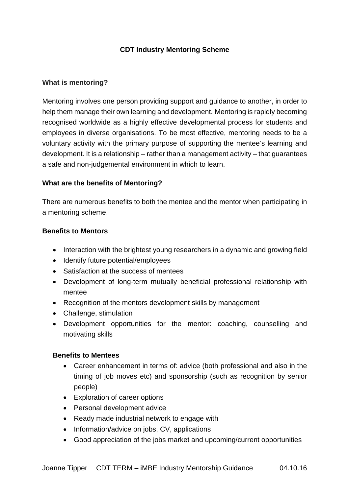# **CDT Industry Mentoring Scheme**

### **What is mentoring?**

Mentoring involves one person providing support and guidance to another, in order to help them manage their own learning and development. Mentoring is rapidly becoming recognised worldwide as a highly effective developmental process for students and employees in diverse organisations. To be most effective, mentoring needs to be a voluntary activity with the primary purpose of supporting the mentee's learning and development. It is a relationship – rather than a management activity – that guarantees a safe and non-judgemental environment in which to learn.

### **What are the benefits of Mentoring?**

There are numerous benefits to both the mentee and the mentor when participating in a mentoring scheme.

#### **Benefits to Mentors**

- Interaction with the brightest young researchers in a dynamic and growing field
- Identify future potential/employees
- Satisfaction at the success of mentees
- Development of long-term mutually beneficial professional relationship with mentee
- Recognition of the mentors development skills by management
- Challenge, stimulation
- Development opportunities for the mentor: coaching, counselling and motivating skills

#### **Benefits to Mentees**

- Career enhancement in terms of: advice (both professional and also in the timing of job moves etc) and sponsorship (such as recognition by senior people)
- Exploration of career options
- Personal development advice
- Ready made industrial network to engage with
- Information/advice on jobs, CV, applications
- Good appreciation of the jobs market and upcoming/current opportunities